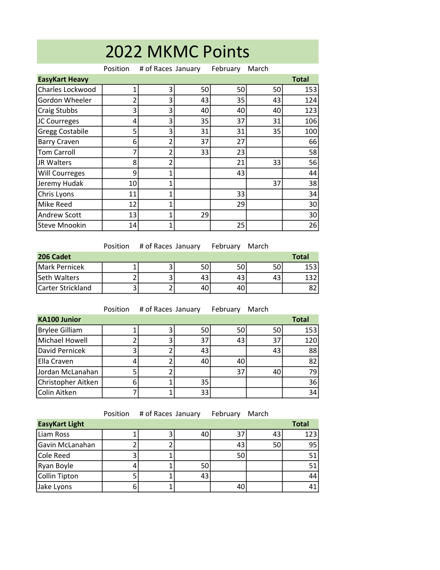| 2022 MKMC Points       |                |                    |    |          |       |              |  |  |
|------------------------|----------------|--------------------|----|----------|-------|--------------|--|--|
|                        | Position       | # of Races January |    | February | March |              |  |  |
| <b>EasyKart Heavy</b>  |                |                    |    |          |       | <b>Total</b> |  |  |
| Charles Lockwood       | 1              | 3                  | 50 | 50       | 50    | 153          |  |  |
| Gordon Wheeler         | $\overline{2}$ | 3                  | 43 | 35       | 43    | 124          |  |  |
| Craig Stubbs           | 3              | 3                  | 40 | 40       | 40    | 123          |  |  |
| JC Courreges           | 4              | 3                  | 35 | 37       | 31    | 106          |  |  |
| <b>Gregg Costabile</b> | 5              | 3                  | 31 | 31       | 35    | 100          |  |  |
| <b>Barry Craven</b>    | 6              | $\overline{2}$     | 37 | 27       |       | 66           |  |  |
| <b>Tom Carroll</b>     | 7              | 2                  | 33 | 23       |       | 58           |  |  |
| JR Walters             | 8              | $\overline{2}$     |    | 21       | 33    | 56           |  |  |
| <b>Will Courreges</b>  | 9              | $\mathbf{1}$       |    | 43       |       | 44           |  |  |
| Jeremy Hudak           | 10             | 1                  |    |          | 37    | 38           |  |  |
| Chris Lyons            | 11             | 1                  |    | 33       |       | 34           |  |  |
| Mike Reed              | 12             | 1                  |    | 29       |       | 30           |  |  |
| Andrew Scott           | 13             | 1                  | 29 |          |       | 30           |  |  |
| <b>Steve Mnookin</b>   | 14             | 1                  |    | 25       |       | 26           |  |  |

|                   | <b>Position</b> | # of Races January |    | February | March |              |
|-------------------|-----------------|--------------------|----|----------|-------|--------------|
| 206 Cadet         |                 |                    |    |          |       | <b>Total</b> |
| Mark Pernicek     |                 |                    | 50 | 50       | 50    | 153          |
| Seth Walters      |                 |                    |    | 43       | 43    | 132          |
| Carter Strickland |                 |                    | 40 | 40       |       | 82.          |

|                       | Position | # of Races January |    | February | March |              |
|-----------------------|----------|--------------------|----|----------|-------|--------------|
| <b>KA100 Junior</b>   |          |                    |    |          |       | <b>Total</b> |
| <b>Brylee Gilliam</b> |          |                    | 50 | 50       | 50    | 153          |
| Michael Howell        | 2        |                    | 37 | 43       | 37    | 120          |
| David Pernicek        | 3        |                    | 43 |          | 43    | 88           |
| Ella Craven           | 4        |                    | 40 | 40       |       | 82           |
| Jordan McLanahan      | 5        |                    |    | 37       | 40    | 79           |
| Christopher Aitken    | 6        |                    | 35 |          |       | 36           |
| Colin Aitken          |          |                    | 33 |          |       | 34           |

Position # of Races January February March

| <b>EasyKart Light</b> |  |    |    |    | <b>Total</b> |
|-----------------------|--|----|----|----|--------------|
| Liam Ross             |  | 40 | 37 | 43 | 123          |
| Gavin McLanahan       |  |    | 43 | 50 | 95           |
| <b>Cole Reed</b>      |  |    | 50 |    | 51           |
| Ryan Boyle            |  | 50 |    |    | 51           |
| Collin Tipton         |  | 43 |    |    | 44           |
| Jake Lyons            |  |    | 40 |    | 41           |